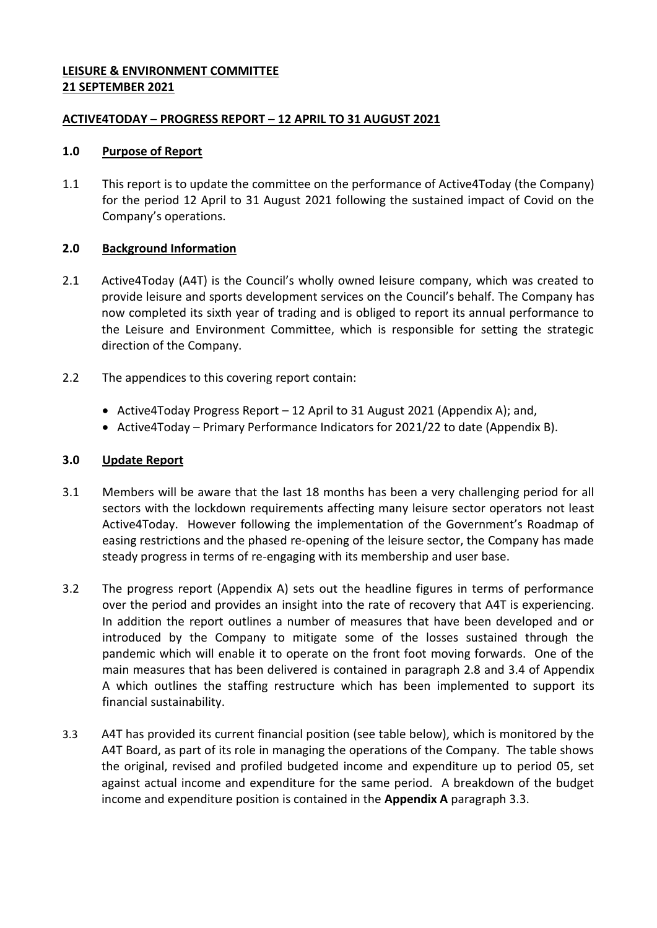# **LEISURE & ENVIRONMENT COMMITTEE 21 SEPTEMBER 2021**

# **ACTIVE4TODAY – PROGRESS REPORT – 12 APRIL TO 31 AUGUST 2021**

## **1.0 Purpose of Report**

1.1 This report is to update the committee on the performance of Active4Today (the Company) for the period 12 April to 31 August 2021 following the sustained impact of Covid on the Company's operations.

# **2.0 Background Information**

- 2.1 Active4Today (A4T) is the Council's wholly owned leisure company, which was created to provide leisure and sports development services on the Council's behalf. The Company has now completed its sixth year of trading and is obliged to report its annual performance to the Leisure and Environment Committee, which is responsible for setting the strategic direction of the Company.
- 2.2 The appendices to this covering report contain:
	- Active4Today Progress Report 12 April to 31 August 2021 (Appendix A); and,
	- Active4Today Primary Performance Indicators for 2021/22 to date (Appendix B).

# **3.0 Update Report**

- 3.1 Members will be aware that the last 18 months has been a very challenging period for all sectors with the lockdown requirements affecting many leisure sector operators not least Active4Today. However following the implementation of the Government's Roadmap of easing restrictions and the phased re-opening of the leisure sector, the Company has made steady progress in terms of re-engaging with its membership and user base.
- 3.2 The progress report (Appendix A) sets out the headline figures in terms of performance over the period and provides an insight into the rate of recovery that A4T is experiencing. In addition the report outlines a number of measures that have been developed and or introduced by the Company to mitigate some of the losses sustained through the pandemic which will enable it to operate on the front foot moving forwards. One of the main measures that has been delivered is contained in paragraph 2.8 and 3.4 of Appendix A which outlines the staffing restructure which has been implemented to support its financial sustainability.
- 3.3 A4T has provided its current financial position (see table below), which is monitored by the A4T Board, as part of its role in managing the operations of the Company. The table shows the original, revised and profiled budgeted income and expenditure up to period 05, set against actual income and expenditure for the same period. A breakdown of the budget income and expenditure position is contained in the **Appendix A** paragraph 3.3.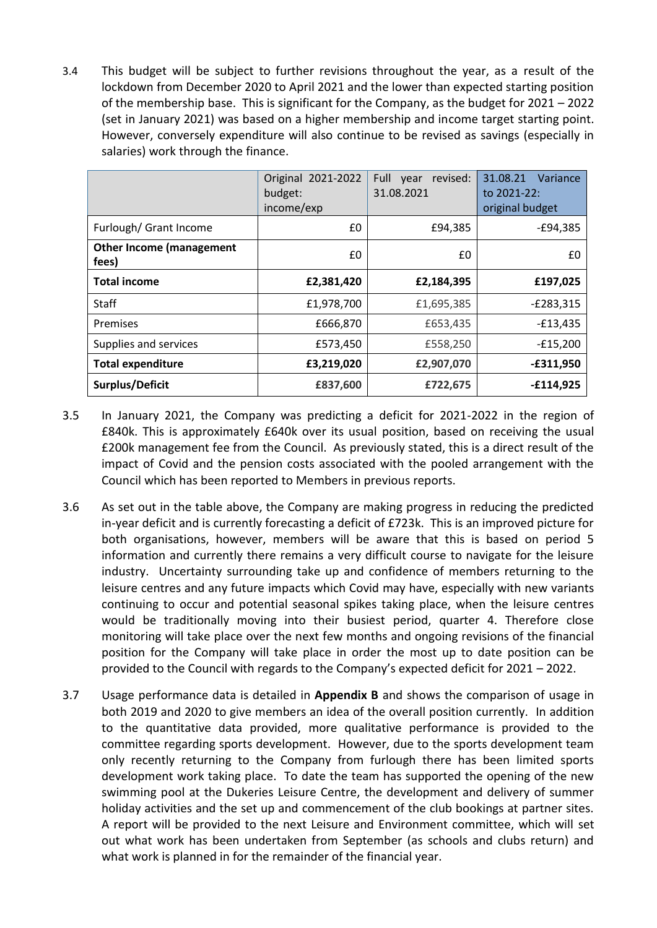3.4 This budget will be subject to further revisions throughout the year, as a result of the lockdown from December 2020 to April 2021 and the lower than expected starting position of the membership base. This is significant for the Company, as the budget for 2021 – 2022 (set in January 2021) was based on a higher membership and income target starting point. However, conversely expenditure will also continue to be revised as savings (especially in salaries) work through the finance.

|                                          | Original 2021-2022<br>budget:<br>income/exp | Full<br>revised:<br>vear<br>31.08.2021 | 31.08.21<br>Variance<br>to 2021-22:<br>original budget |  |  |  |
|------------------------------------------|---------------------------------------------|----------------------------------------|--------------------------------------------------------|--|--|--|
| Furlough/ Grant Income                   | £0                                          | £94,385                                | $-E94,385$                                             |  |  |  |
| <b>Other Income (management</b><br>fees) | £0                                          | £0                                     | £0                                                     |  |  |  |
| <b>Total income</b>                      | £2,381,420                                  | £2,184,395                             | £197,025                                               |  |  |  |
| <b>Staff</b>                             | £1,978,700                                  | £1,695,385                             | $-E283,315$                                            |  |  |  |
| Premises                                 | £666,870                                    | £653,435                               | $-E13,435$                                             |  |  |  |
| Supplies and services                    | £573,450                                    | £558,250                               | $-E15,200$                                             |  |  |  |
| <b>Total expenditure</b>                 | £3,219,020                                  | £2,907,070                             | $-£311,950$                                            |  |  |  |
| Surplus/Deficit                          | £837,600                                    | £722,675                               | $-£114,925$                                            |  |  |  |

- 3.5 In January 2021, the Company was predicting a deficit for 2021-2022 in the region of £840k. This is approximately £640k over its usual position, based on receiving the usual £200k management fee from the Council. As previously stated, this is a direct result of the impact of Covid and the pension costs associated with the pooled arrangement with the Council which has been reported to Members in previous reports.
- 3.6 As set out in the table above, the Company are making progress in reducing the predicted in-year deficit and is currently forecasting a deficit of £723k. This is an improved picture for both organisations, however, members will be aware that this is based on period 5 information and currently there remains a very difficult course to navigate for the leisure industry. Uncertainty surrounding take up and confidence of members returning to the leisure centres and any future impacts which Covid may have, especially with new variants continuing to occur and potential seasonal spikes taking place, when the leisure centres would be traditionally moving into their busiest period, quarter 4. Therefore close monitoring will take place over the next few months and ongoing revisions of the financial position for the Company will take place in order the most up to date position can be provided to the Council with regards to the Company's expected deficit for 2021 – 2022.
- 3.7 Usage performance data is detailed in **Appendix B** and shows the comparison of usage in both 2019 and 2020 to give members an idea of the overall position currently. In addition to the quantitative data provided, more qualitative performance is provided to the committee regarding sports development. However, due to the sports development team only recently returning to the Company from furlough there has been limited sports development work taking place. To date the team has supported the opening of the new swimming pool at the Dukeries Leisure Centre, the development and delivery of summer holiday activities and the set up and commencement of the club bookings at partner sites. A report will be provided to the next Leisure and Environment committee, which will set out what work has been undertaken from September (as schools and clubs return) and what work is planned in for the remainder of the financial year.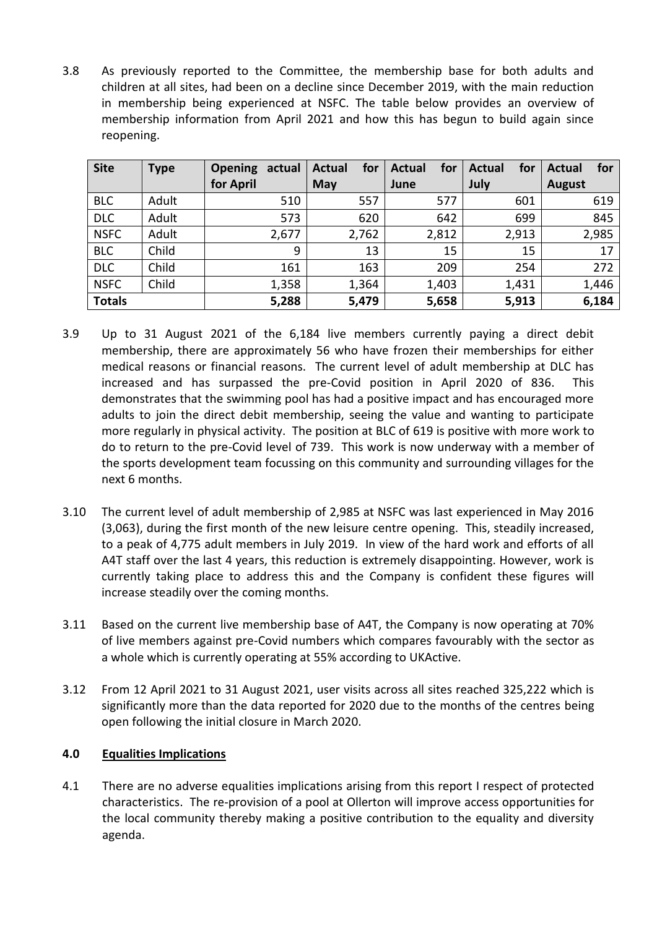3.8 As previously reported to the Committee, the membership base for both adults and children at all sites, had been on a decline since December 2019, with the main reduction in membership being experienced at NSFC. The table below provides an overview of membership information from April 2021 and how this has begun to build again since reopening.

| <b>Site</b>   | <b>Type</b> | <b>Opening</b> | actual | <b>Actual</b> | for   | Actual | for   | <b>Actual</b> | for   | Actual        | for   |
|---------------|-------------|----------------|--------|---------------|-------|--------|-------|---------------|-------|---------------|-------|
|               |             | for April      |        | May           |       | June   |       | July          |       | <b>August</b> |       |
| <b>BLC</b>    | Adult       |                | 510    |               | 557   |        | 577   |               | 601   |               | 619   |
| <b>DLC</b>    | Adult       |                | 573    |               | 620   |        | 642   |               | 699   |               | 845   |
| <b>NSFC</b>   | Adult       |                | 2,677  |               | 2,762 |        | 2,812 |               | 2,913 |               | 2,985 |
| <b>BLC</b>    | Child       |                | 9      |               | 13    |        | 15    |               | 15    |               | 17    |
| <b>DLC</b>    | Child       |                | 161    |               | 163   |        | 209   |               | 254   |               | 272   |
| <b>NSFC</b>   | Child       |                | 1,358  |               | 1,364 |        | 1,403 |               | 1,431 |               | 1,446 |
| <b>Totals</b> |             |                | 5,288  |               | 5,479 |        | 5,658 |               | 5,913 |               | 6,184 |

- 3.9 Up to 31 August 2021 of the 6,184 live members currently paying a direct debit membership, there are approximately 56 who have frozen their memberships for either medical reasons or financial reasons. The current level of adult membership at DLC has increased and has surpassed the pre-Covid position in April 2020 of 836. This demonstrates that the swimming pool has had a positive impact and has encouraged more adults to join the direct debit membership, seeing the value and wanting to participate more regularly in physical activity. The position at BLC of 619 is positive with more work to do to return to the pre-Covid level of 739. This work is now underway with a member of the sports development team focussing on this community and surrounding villages for the next 6 months.
- 3.10 The current level of adult membership of 2,985 at NSFC was last experienced in May 2016 (3,063), during the first month of the new leisure centre opening. This, steadily increased, to a peak of 4,775 adult members in July 2019. In view of the hard work and efforts of all A4T staff over the last 4 years, this reduction is extremely disappointing. However, work is currently taking place to address this and the Company is confident these figures will increase steadily over the coming months.
- 3.11 Based on the current live membership base of A4T, the Company is now operating at 70% of live members against pre-Covid numbers which compares favourably with the sector as a whole which is currently operating at 55% according to UKActive.
- 3.12 From 12 April 2021 to 31 August 2021, user visits across all sites reached 325,222 which is significantly more than the data reported for 2020 due to the months of the centres being open following the initial closure in March 2020.

# **4.0 Equalities Implications**

4.1 There are no adverse equalities implications arising from this report I respect of protected characteristics. The re-provision of a pool at Ollerton will improve access opportunities for the local community thereby making a positive contribution to the equality and diversity agenda.